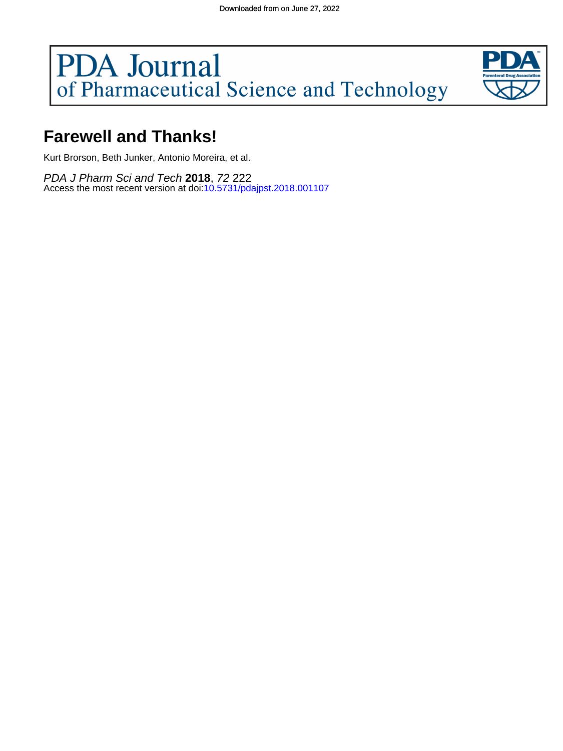# PDA Journal<br>of Pharmaceutical Science and Technology



## **Farewell and Thanks!**

Kurt Brorson, Beth Junker, Antonio Moreira, et al.

Access the most recent version at doi:10.5731/pdajpst.2018.001107 PDA J Pharm Sci and Tech **2018**, 72 222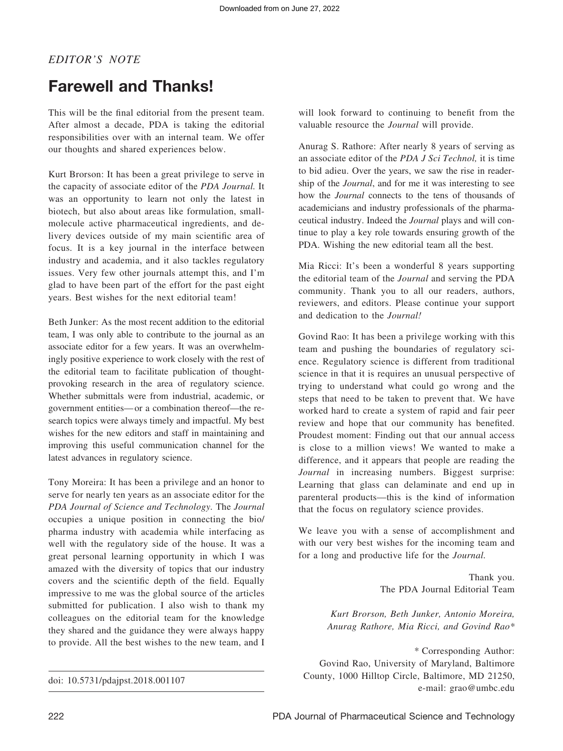### *EDITOR'S NOTE*

## **Farewell and Thanks!**

This will be the final editorial from the present team. After almost a decade, PDA is taking the editorial responsibilities over with an internal team. We offer our thoughts and shared experiences below.

Kurt Brorson: It has been a great privilege to serve in the capacity of associate editor of the *PDA Journal.* It was an opportunity to learn not only the latest in biotech, but also about areas like formulation, smallmolecule active pharmaceutical ingredients, and delivery devices outside of my main scientific area of focus. It is a key journal in the interface between industry and academia, and it also tackles regulatory issues. Very few other journals attempt this, and I'm glad to have been part of the effort for the past eight years. Best wishes for the next editorial team!

Beth Junker: As the most recent addition to the editorial team, I was only able to contribute to the journal as an associate editor for a few years. It was an overwhelmingly positive experience to work closely with the rest of the editorial team to facilitate publication of thoughtprovoking research in the area of regulatory science. Whether submittals were from industrial, academic, or government entities— or a combination thereof—the research topics were always timely and impactful. My best wishes for the new editors and staff in maintaining and improving this useful communication channel for the latest advances in regulatory science.

Tony Moreira: It has been a privilege and an honor to serve for nearly ten years as an associate editor for the *PDA Journal of Science and Technology.* The *Journal* occupies a unique position in connecting the bio/ pharma industry with academia while interfacing as well with the regulatory side of the house. It was a great personal learning opportunity in which I was amazed with the diversity of topics that our industry covers and the scientific depth of the field. Equally impressive to me was the global source of the articles submitted for publication. I also wish to thank my colleagues on the editorial team for the knowledge they shared and the guidance they were always happy to provide. All the best wishes to the new team, and I

will look forward to continuing to benefit from the valuable resource the *Journal* will provide.

Anurag S. Rathore: After nearly 8 years of serving as an associate editor of the *PDA J Sci Technol,* it is time to bid adieu. Over the years, we saw the rise in readership of the *Journal*, and for me it was interesting to see how the *Journal* connects to the tens of thousands of academicians and industry professionals of the pharmaceutical industry. Indeed the *Journal* plays and will continue to play a key role towards ensuring growth of the PDA. Wishing the new editorial team all the best.

Mia Ricci: It's been a wonderful 8 years supporting the editorial team of the *Journal* and serving the PDA community. Thank you to all our readers, authors, reviewers, and editors. Please continue your support and dedication to the *Journal!*

Govind Rao: It has been a privilege working with this team and pushing the boundaries of regulatory science. Regulatory science is different from traditional science in that it is requires an unusual perspective of trying to understand what could go wrong and the steps that need to be taken to prevent that. We have worked hard to create a system of rapid and fair peer review and hope that our community has benefited. Proudest moment: Finding out that our annual access is close to a million views! We wanted to make a difference, and it appears that people are reading the *Journal* in increasing numbers. Biggest surprise: Learning that glass can delaminate and end up in parenteral products—this is the kind of information that the focus on regulatory science provides.

We leave you with a sense of accomplishment and with our very best wishes for the incoming team and for a long and productive life for the *Journal.*

> Thank you. The PDA Journal Editorial Team

*Kurt Brorson, Beth Junker, Antonio Moreira, Anurag Rathore, Mia Ricci, and Govind Rao\**

\* Corresponding Author: Govind Rao, University of Maryland, Baltimore County, 1000 Hilltop Circle, Baltimore, MD 21250, doi: 10.5731/pdajpst.2018.001107<br>e-mail: grao@umbc.edu e-mail: grao@umbc.edu